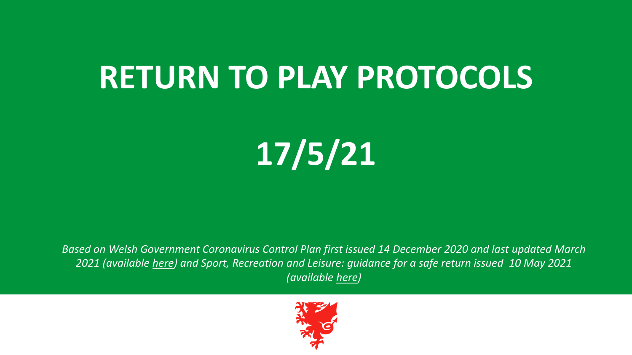# **RETURN TO PLAY PROTOCOLS**

**17/5/21**

*Based on Welsh Government Coronavirus Control Plan first issued 14 December 2020 and last updated March 2021 (available [here](https://gov.wales/sites/default/files/publications/2021-03/coronavirus-control-plan-revised-alert-levels-in-wales-march-2021.pdf)) and Sport, Recreation and Leisure: guidance for a safe return issued 10 May 2021 (available [here\)](https://gov.wales/sport-recreation-and-leisure-guidance-phased-return-html#section-58582)*

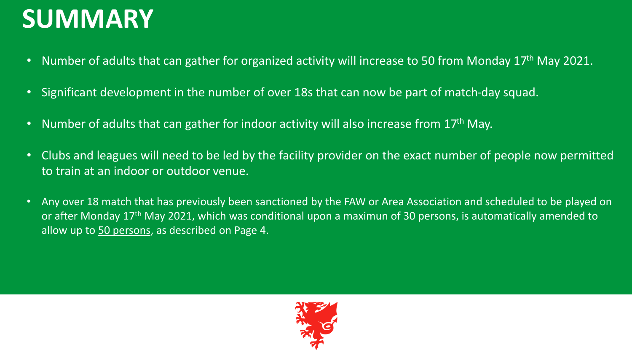## **SUMMARY**

- Number of adults that can gather for organized activity will increase to 50 from Monday 17<sup>th</sup> May 2021.
- Significant development in the number of over 18s that can now be part of match-day squad.
- Number of adults that can gather for indoor activity will also increase from  $17<sup>th</sup>$  May.
- Clubs and leagues will need to be led by the facility provider on the exact number of people now permitted to train at an indoor or outdoor venue.
- Any over 18 match that has previously been sanctioned by the FAW or Area Association and scheduled to be played on or after Monday 17th May 2021, which was conditional upon a maximun of 30 persons, is automatically amended to allow up to 50 persons, as described on Page 4.

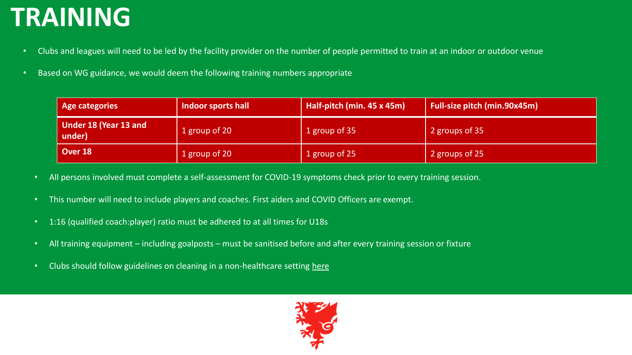# **TRAINING**

- Clubs and leagues will need to be led by the facility provider on the number of people permitted to train at an indoor or outdoor venue
- Based on WG guidance, we would deem the following training numbers appropriate

| Age categories                  | Indoor sports hall | Half-pitch (min. 45 x 45m) | <b>Full-size pitch (min.90x45m)</b> |
|---------------------------------|--------------------|----------------------------|-------------------------------------|
| Under 18 (Year 13 and<br>under) | 1 group of 20      | 1 group of 35              | 2 groups of 35                      |
| Over 18                         | 1 group of 20      | 1 group of 25              | 2 groups of 25                      |

- All persons involved must complete a self-assessment for COVID-19 symptoms check prior to every training session.
- This number will need to include players and coaches. First aiders and COVID Officers are exempt.
- 1:16 (qualified coach:player) ratio must be adhered to at all times for U18s
- All training equipment including goalposts must be sanitised before and after every training session or fixture
- Clubs should follow guidelines on cleaning in a non-healthcare setting [here](https://www.gov.uk/government/publications/covid-19-decontamination-in-non-healthcare-settings/covid-19-decontamination-in-non-healthcare-settings)

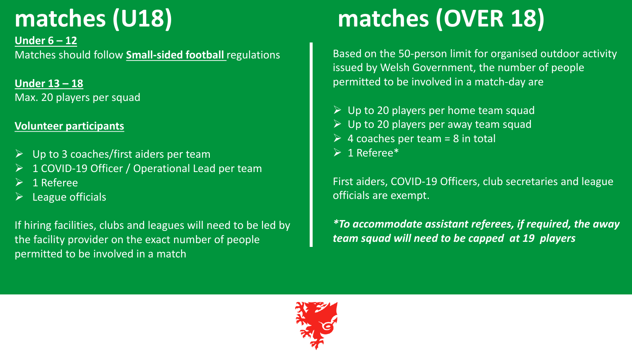## **matches (U18)**

**Under 6 – 12** Matches should follow **[Small-sided football](http://www.fawtrust.cymru/files/8015/9403/4173/FAW_Small_Sided_Football_Regulations.pdf)** regulations

**Under 13 – 18** Max. 20 players per squad

#### **Volunteer participants**

- $\triangleright$  Up to 3 coaches/first aiders per team
- ➢ 1 COVID-19 Officer / Operational Lead per team
- $\geq 1$  Referee
- $\triangleright$  League officials

If hiring facilities, clubs and leagues will need to be led by the facility provider on the exact number of people permitted to be involved in a match

# **matches (OVER 18)**

Based on the 50-person limit for organised outdoor activity issued by Welsh Government, the number of people permitted to be involved in a match-day are

- $\triangleright$  Up to 20 players per home team squad
- $\triangleright$  Up to 20 players per away team squad
- $\triangleright$  4 coaches per team = 8 in total
- $\triangleright$  1 Referee\*

First aiders, COVID-19 Officers, club secretaries and league officials are exempt.

*\*To accommodate assistant referees, if required, the away team squad will need to be capped at 19 players* 

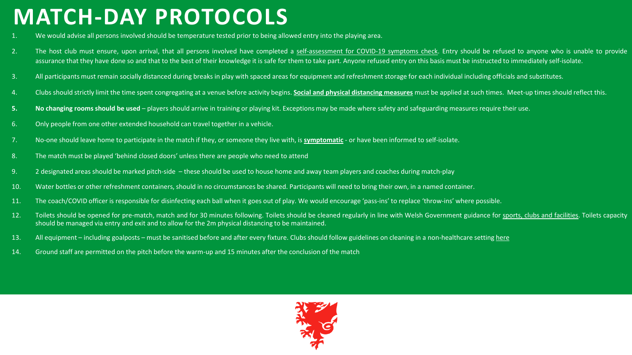#### **MATCH-DAY PROTOCOLS**

- 1. We would advise all persons involved should be temperature tested prior to being allowed entry into the playing area.
- 2. The host club must ensure, upon arrival, that all persons involved have completed a [self-assessment](http://contentfaw.aws-skybrid.co.uk/files/4916/1693/2439/COVID-19_SELF-ASSESSMENT_QUESTIONNAIRE.pdf) for COVID-19 symptoms check. Entry should be refused to anyone who is unable to provide assurance that they have done so and that to the best of their knowledge it is safe for them to take part. Anyone refused entry on this basis must be instructed to immediately self-isolate.
- 3. All participants must remain socially distanced during breaks in play with spaced areas for equipment and refreshment storage for each individual including officials and substitutes.
- 4. Clubs should strictly limit the time spent congregating at a venue before activity begins. Social and physical [distancing](https://gov.wales/node/29201) measures must be applied at such times. Meet-up times should reflect this.
- **5. No changing rooms should be used** players should arrive in training or playing kit. Exceptions may be made where safety and safeguarding measures require their use.
- 6. Only people from one other extended household can travel together in a vehicle.
- 7. No-one should leave home to participate in the match if they, or someone they live with, is **[symptomatic](https://gov.wales/node/29198#section-38123)** or have been informed to self-isolate.
- 8. The match must be played 'behind closed doors' unless there are people who need to attend
- 9. 2 designated areas should be marked pitch-side these should be used to house home and away team players and coaches during match-play
- 10. Water bottles or other refreshment containers, should in no circumstances be shared. Participants will need to bring their own, in a named container.
- 11. The coach/COVID officer is responsible for disinfecting each ball when it goes out of play. We would encourage 'pass-ins' to replace 'throw-ins' where possible.
- 12. Toilets should be opened for pre-match, match and for 30 minutes following. Toilets should be cleaned regularly in line with Welsh Government guidance for sports, clubs and [facilities.](https://gov.wales/node/30814#section-44228) Toilets capacity should be managed via entry and exit and to allow for the 2m physical distancing to be maintained.
- 13. All equipment including goalposts must be sanitised before and after every fixture. Clubs should follow guidelines on cleaning in a non-healthcare setting [here](https://www.gov.uk/government/publications/covid-19-decontamination-in-non-healthcare-settings/covid-19-decontamination-in-non-healthcare-settings)
- 14. Ground staff are permitted on the pitch before the warm-up and 15 minutes after the conclusion of the match

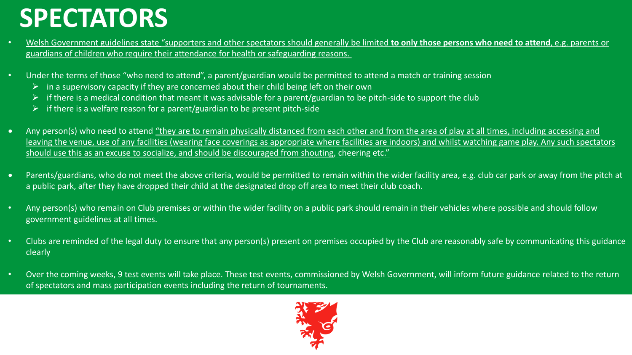### **SPECTATORS**

- Welsh Government guidelines state "supporters and other spectators should generally be limited **to only those persons who need to attend**, e.g. parents or [guardians of children who require their attendance for health or safeguarding reasons.](https://gov.wales/sport-recreation-and-leisure-guidance-phased-return-html#section-58582)
- Under the terms of those "who need to attend", a parent/guardian would be permitted to attend a match or training session
	- ➢ in a supervisory capacity if they are concerned about their child being left on their own
	- $\triangleright$  if there is a medical condition that meant it was advisable for a parent/guardian to be pitch-side to support the club
	- $\triangleright$  if there is a welfare reason for a parent/guardian to be present pitch-side
- Any person(s) who need to attend "they are to remain physically distanced from each other and from the area of play at all times, including accessing and [leaving the venue, use of any facilities \(wearing face coverings as appropriate where facilities are indoors\) and whilst watching game play. Any such spectators](https://gov.wales/sport-recreation-and-leisure-guidance-phased-return-html#section-58582)  should use this as an excuse to socialize, and should be discouraged from shouting, cheering etc."
- Parents/guardians, who do not meet the above criteria, would be permitted to remain within the wider facility area, e.g. club car park or away from the pitch at a public park, after they have dropped their child at the designated drop off area to meet their club coach.
- Any person(s) who remain on Club premises or within the wider facility on a public park should remain in their vehicles where possible and should follow government guidelines at all times.
- Clubs are reminded of the legal duty to ensure that any person(s) present on premises occupied by the Club are reasonably safe by communicating this guidance clearly
- Over the coming weeks, 9 test events will take place. These test events, commissioned by Welsh Government, will inform future guidance related to the return of spectators and mass participation events including the return of tournaments.

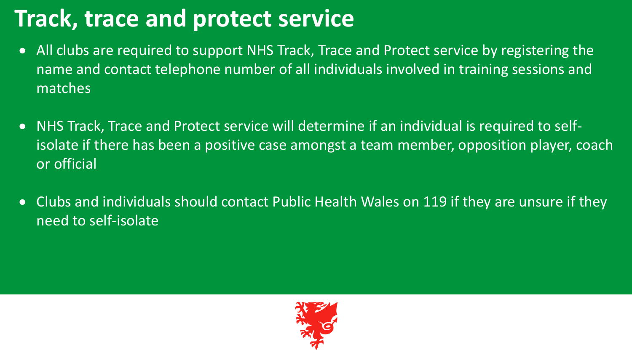#### **Track, trace and protect service**

- All clubs are required to support NHS Track, Trace and Protect service by registering the name and contact telephone number of all individuals involved in training sessions and matches
- NHS Track, Trace and Protect service will determine if an individual is required to selfisolate if there has been a positive case amongst a team member, opposition player, coach or official
- Clubs and individuals should contact Public Health Wales on 119 if they are unsure if they need to self-isolate